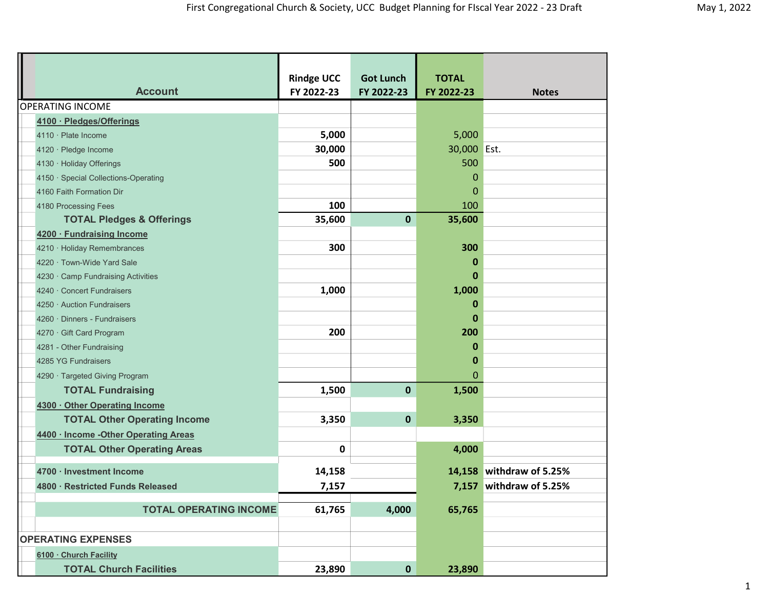| <b>Account</b>                        | <b>Rindge UCC</b><br>FY 2022-23 | <b>Got Lunch</b><br>FY 2022-23 | <b>TOTAL</b><br>FY 2022-23 | <b>Notes</b>             |  |
|---------------------------------------|---------------------------------|--------------------------------|----------------------------|--------------------------|--|
| <b>OPERATING INCOME</b>               |                                 |                                |                            |                          |  |
| 4100 · Pledges/Offerings              |                                 |                                |                            |                          |  |
| 4110 · Plate Income                   | 5,000                           |                                | 5,000                      |                          |  |
| 4120 · Pledge Income                  | 30,000                          |                                | 30,000 Est.                |                          |  |
| 4130 · Holiday Offerings              | 500                             |                                | 500                        |                          |  |
| 4150 · Special Collections-Operating  |                                 |                                | 0                          |                          |  |
| 4160 Faith Formation Dir              |                                 |                                | 0                          |                          |  |
| 4180 Processing Fees                  | 100                             |                                | 100                        |                          |  |
| <b>TOTAL Pledges &amp; Offerings</b>  | 35,600                          | $\mathbf 0$                    | 35,600                     |                          |  |
| 4200 · Fundraising Income             |                                 |                                |                            |                          |  |
| 4210 · Holiday Remembrances           | 300                             |                                | 300                        |                          |  |
| 4220 · Town-Wide Yard Sale            |                                 |                                | 0                          |                          |  |
| 4230 Camp Fundraising Activities      |                                 |                                | 0                          |                          |  |
| 4240 · Concert Fundraisers            | 1,000                           |                                | 1,000                      |                          |  |
| 4250 · Auction Fundraisers            |                                 |                                | 0                          |                          |  |
| 4260 · Dinners - Fundraisers          |                                 |                                | $\bf{0}$                   |                          |  |
| 4270 · Gift Card Program              | 200                             |                                | 200                        |                          |  |
| 4281 - Other Fundraising              |                                 |                                | 0                          |                          |  |
| 4285 YG Fundraisers                   |                                 |                                | 0                          |                          |  |
| 4290 · Targeted Giving Program        |                                 |                                | $\Omega$                   |                          |  |
| <b>TOTAL Fundraising</b>              | 1,500                           | $\mathbf 0$                    | 1,500                      |                          |  |
| 4300 · Other Operating Income         |                                 |                                |                            |                          |  |
| <b>TOTAL Other Operating Income</b>   | 3,350                           | $\mathbf 0$                    | 3,350                      |                          |  |
| 4400 · Income - Other Operating Areas |                                 |                                |                            |                          |  |
| <b>TOTAL Other Operating Areas</b>    | 0                               |                                | 4,000                      |                          |  |
| 4700 · Investment Income              | 14,158                          |                                |                            | 14,158 withdraw of 5.25% |  |
| 4800 · Restricted Funds Released      | 7,157                           |                                |                            | 7,157 withdraw of 5.25%  |  |
|                                       |                                 |                                |                            |                          |  |
| <b>TOTAL OPERATING INCOME</b>         | 61,765                          | 4,000                          | 65,765                     |                          |  |
|                                       |                                 |                                |                            |                          |  |
| <b>OPERATING EXPENSES</b>             |                                 |                                |                            |                          |  |
| 6100 · Church Facility                |                                 |                                |                            |                          |  |
| <b>TOTAL Church Facilities</b>        | 23,890                          | $\mathbf 0$                    | 23,890                     |                          |  |